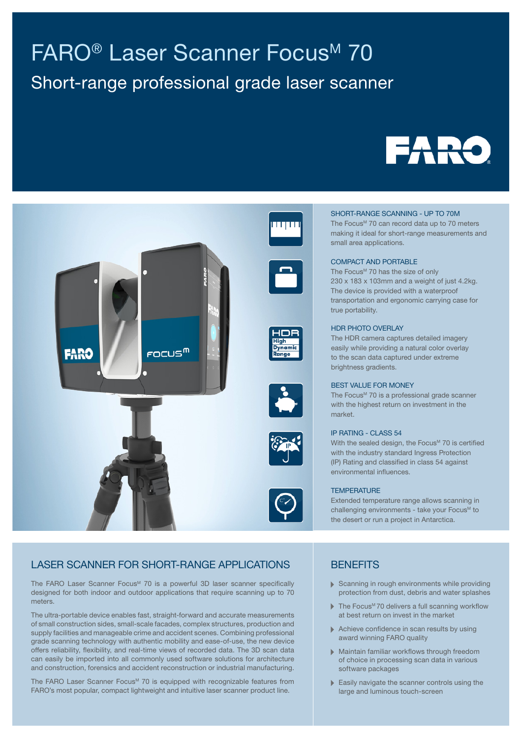# FARO<sup>®</sup> Laser Scanner Focus<sup>M</sup> 70

# Short-range professional grade laser scanner





#### SHORT-RANGE SCANNING - UP TO 70M

The Focus<sup>M</sup> 70 can record data up to 70 meters making it ideal for short-range measurements and small area applications.

#### COMPACT AND PORTABLE

The Focus<sup>M</sup> 70 has the size of only 230 x 183 x 103mm and a weight of just 4.2kg. The device is provided with a waterproof transportation and ergonomic carrying case for true portability.

#### HDR PHOTO OVERLAY

The HDR camera captures detailed imagery easily while providing a natural color overlay to the scan data captured under extreme brightness gradients.

#### BEST VALUE FOR MONEY

The Focus<sup>M</sup> 70 is a professional grade scanner with the highest return on investment in the market.

#### IP RATING - CLASS 54

With the sealed design, the Focus<sup>M</sup> 70 is certified with the industry standard Ingress Protection (IP) Rating and classified in class 54 against environmental influences.

#### **TEMPERATURE**

Extended temperature range allows scanning in challenging environments - take your Focus<sup>™</sup> to the desert or run a project in Antarctica.

# LASER SCANNER FOR SHORT-RANGE APPLICATIONS

The FARO Laser Scanner Focus<sup>M</sup> 70 is a powerful 3D laser scanner specifically designed for both indoor and outdoor applications that require scanning up to 70 meters.

The ultra-portable device enables fast, straight-forward and accurate measurements of small construction sides, small-scale facades, complex structures, production and supply facilities and manageable crime and accident scenes. Combining professional grade scanning technology with authentic mobility and ease-of-use, the new device offers reliability, flexibility, and real-time views of recorded data. The 3D scan data can easily be imported into all commonly used software solutions for architecture and construction, forensics and accident reconstruction or industrial manufacturing.

The FARO Laser Scanner Focus<sup>™</sup> 70 is equipped with recognizable features from FARO's most popular, compact lightweight and intuitive laser scanner product line.

### **BENEFITS**

- Scanning in rough environments while providing protection from dust, debris and water splashes
- Ь The Focus<sup>M</sup> 70 delivers a full scanning workflow at best return on invest in the market
- Achieve confidence in scan results by using award winning FARO quality
- Maintain familiar workflows through freedom of choice in processing scan data in various software packages
- Easily navigate the scanner controls using the large and luminous touch-screen